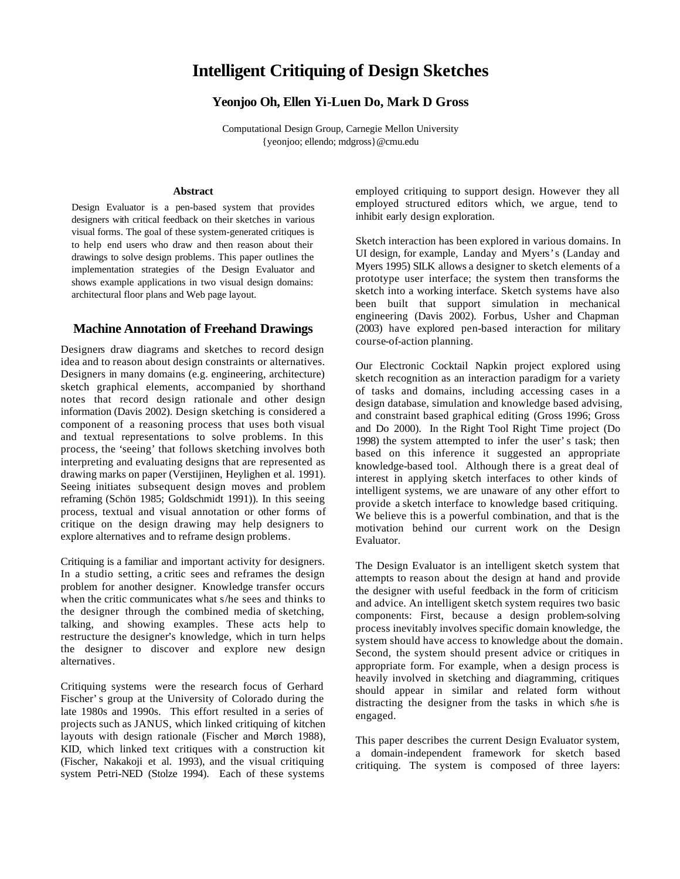# **Intelligent Critiquing of Design Sketches**

## **Yeonjoo Oh, Ellen Yi-Luen Do, Mark D Gross**

Computational Design Group, Carnegie Mellon University {yeonjoo; ellendo; mdgross}@cmu.edu

#### **Abstract**

Design Evaluator is a pen-based system that provides designers with critical feedback on their sketches in various visual forms. The goal of these system-generated critiques is to help end users who draw and then reason about their drawings to solve design problems. This paper outlines the implementation strategies of the Design Evaluator and shows example applications in two visual design domains: architectural floor plans and Web page layout.

## **Machine Annotation of Freehand Drawings**

Designers draw diagrams and sketches to record design idea and to reason about design constraints or alternatives. Designers in many domains (e.g. engineering, architecture) sketch graphical elements, accompanied by shorthand notes that record design rationale and other design information (Davis 2002). Design sketching is considered a component of a reasoning process that uses both visual and textual representations to solve problems. In this process, the 'seeing' that follows sketching involves both interpreting and evaluating designs that are represented as drawing marks on paper (Verstijinen, Heylighen et al. 1991). Seeing initiates subsequent design moves and problem reframing (Schön 1985; Goldschmidt 1991)). In this seeing process, textual and visual annotation or other forms of critique on the design drawing may help designers to explore alternatives and to reframe design problems.

Critiquing is a familiar and important activity for designers. In a studio setting, a critic sees and reframes the design problem for another designer. Knowledge transfer occurs when the critic communicates what s/he sees and thinks to the designer through the combined media of sketching, talking, and showing examples. These acts help to restructure the designer's knowledge, which in turn helps the designer to discover and explore new design alternatives.

Critiquing systems were the research focus of Gerhard Fischer's group at the University of Colorado during the late 1980s and 1990s. This effort resulted in a series of projects such as JANUS, which linked critiquing of kitchen layouts with design rationale (Fischer and Mørch 1988), KID, which linked text critiques with a construction kit (Fischer, Nakakoji et al. 1993), and the visual critiquing system Petri-NED (Stolze 1994). Each of these systems

employed critiquing to support design. However they all employed structured editors which, we argue, tend to inhibit early design exploration.

Sketch interaction has been explored in various domains. In UI design, for example, Landay and Myers's (Landay and Myers 1995) SILK allows a designer to sketch elements of a prototype user interface; the system then transforms the sketch into a working interface. Sketch systems have also been built that support simulation in mechanical engineering (Davis 2002). Forbus, Usher and Chapman (2003) have explored pen-based interaction for military course-of-action planning.

Our Electronic Cocktail Napkin project explored using sketch recognition as an interaction paradigm for a variety of tasks and domains, including accessing cases in a design database, simulation and knowledge based advising, and constraint based graphical editing (Gross 1996; Gross and Do 2000). In the Right Tool Right Time project (Do 1998) the system attempted to infer the user's task; then based on this inference it suggested an appropriate knowledge-based tool. Although there is a great deal of interest in applying sketch interfaces to other kinds of intelligent systems, we are unaware of any other effort to provide a sketch interface to knowledge based critiquing. We believe this is a powerful combination, and that is the motivation behind our current work on the Design Evaluator.

The Design Evaluator is an intelligent sketch system that attempts to reason about the design at hand and provide the designer with useful feedback in the form of criticism and advice. An intelligent sketch system requires two basic components: First, because a design problem-solving process inevitably involves specific domain knowledge, the system should have access to knowledge about the domain. Second, the system should present advice or critiques in appropriate form. For example, when a design process is heavily involved in sketching and diagramming, critiques should appear in similar and related form without distracting the designer from the tasks in which s/he is engaged.

This paper describes the current Design Evaluator system, a domain-independent framework for sketch based critiquing. The system is composed of three layers: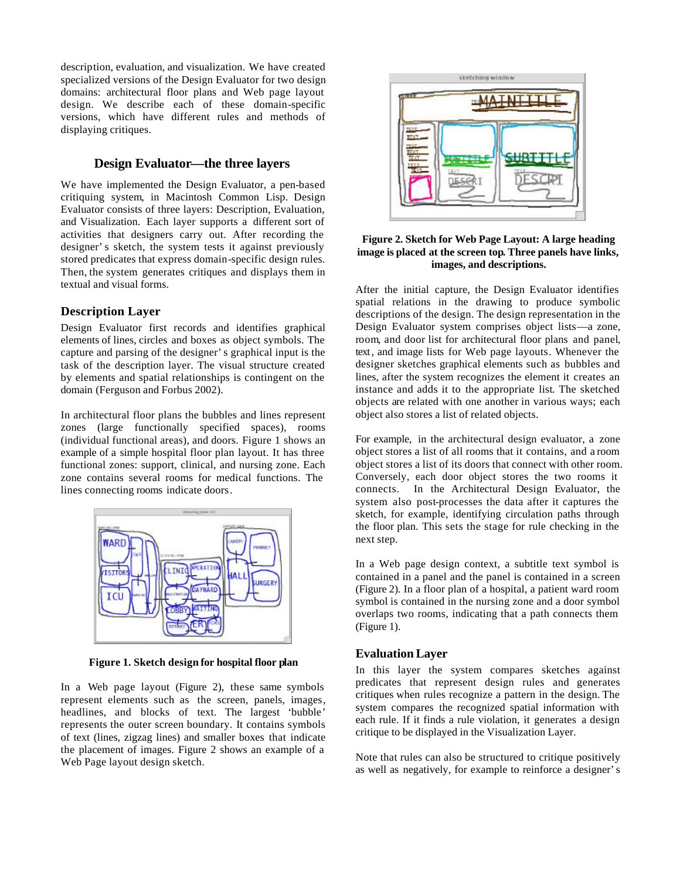description, evaluation, and visualization. We have created specialized versions of the Design Evaluator for two design domains: architectural floor plans and Web page layout design. We describe each of these domain-specific versions, which have different rules and methods of displaying critiques.

# **Design Evaluator—the three layers**

We have implemented the Design Evaluator, a pen-based critiquing system, in Macintosh Common Lisp. Design Evaluator consists of three layers: Description, Evaluation, and Visualization. Each layer supports a different sort of activities that designers carry out. After recording the designer's sketch, the system tests it against previously stored predicates that express domain-specific design rules. Then, the system generates critiques and displays them in textual and visual forms.

## **Description Layer**

Design Evaluator first records and identifies graphical elements of lines, circles and boxes as object symbols. The capture and parsing of the designer's graphical input is the task of the description layer. The visual structure created by elements and spatial relationships is contingent on the domain (Ferguson and Forbus 2002).

In architectural floor plans the bubbles and lines represent zones (large functionally specified spaces), rooms (individual functional areas), and doors. Figure 1 shows an example of a simple hospital floor plan layout. It has three functional zones: support, clinical, and nursing zone. Each zone contains several rooms for medical functions. The lines connecting rooms indicate doors.



**Figure 1. Sketch design for hospital floor plan**

In a Web page layout (Figure 2), these same symbols represent elements such as the screen, panels, images, headlines, and blocks of text. The largest 'bubble' represents the outer screen boundary. It contains symbols of text (lines, zigzag lines) and smaller boxes that indicate the placement of images. Figure 2 shows an example of a Web Page layout design sketch.



**Figure 2. Sketch for Web Page Layout: A large heading image is placed at the screen top. Three panels have links, images, and descriptions.**

After the initial capture, the Design Evaluator identifies spatial relations in the drawing to produce symbolic descriptions of the design. The design representation in the Design Evaluator system comprises object lists—a zone, room, and door list for architectural floor plans and panel, text, and image lists for Web page layouts. Whenever the designer sketches graphical elements such as bubbles and lines, after the system recognizes the element it creates an instance and adds it to the appropriate list. The sketched objects are related with one another in various ways; each object also stores a list of related objects.

For example, in the architectural design evaluator, a zone object stores a list of all rooms that it contains, and a room object stores a list of its doors that connect with other room. Conversely, each door object stores the two rooms it connects. In the Architectural Design Evaluator, the system also post-processes the data after it captures the sketch, for example, identifying circulation paths through the floor plan. This sets the stage for rule checking in the next step.

In a Web page design context, a subtitle text symbol is contained in a panel and the panel is contained in a screen (Figure 2). In a floor plan of a hospital, a patient ward room symbol is contained in the nursing zone and a door symbol overlaps two rooms, indicating that a path connects them (Figure 1).

## **Evaluation Layer**

In this layer the system compares sketches against predicates that represent design rules and generates critiques when rules recognize a pattern in the design. The system compares the recognized spatial information with each rule. If it finds a rule violation, it generates a design critique to be displayed in the Visualization Layer.

Note that rules can also be structured to critique positively as well as negatively, for example to reinforce a designer's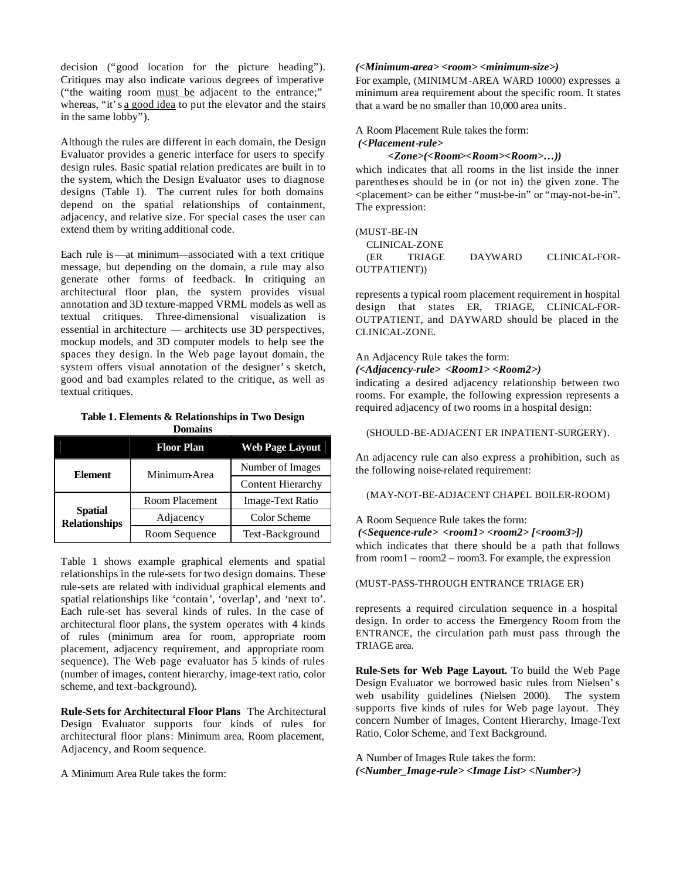decision ("good location for the picture heading"). Critiques may also indicate various degrees of imperative ("the waiting room must be adjacent to the entrance;" whereas, "it's a good idea to put the elevator and the stairs in the same lobby").

Although the rules are different in each domain, the Design Evaluator provides a generic interface for users to specify design rules. Basic spatial relation predicates are built in to the system, which the Design Evaluator uses to diagnose designs (Table 1). The current rules for both domains depend on the spatial relationships of containment, adjacency, and relative size. For special cases the user can extend them by writing additional code.

Each rule is — at minimum— associated with a text critique message, but depending on the domain, a rule may also generate other forms of feedback. In critiquing an architectural floor plan, the system provides visual annotation and 3D texture-mapped VRML models as well as textual critiques. Three-dimensional visualization is essential in architecture — architects use 3D perspectives, mockup models, and 3D computer models to help see the spaces they design. In the Web page layout domain, the system offers visual annotation of the designer's sketch, good and bad examples related to the critique, as well as textual critiques.

#### **Table 1. Elements & Relationships in Two Design Domains**

|                                        | <b>Floor Plan</b> | <b>Web Page Layout</b>   |
|----------------------------------------|-------------------|--------------------------|
| <b>Element</b>                         | Minimum-Area      | Number of Images         |
|                                        |                   | <b>Content Hierarchy</b> |
| <b>Spatial</b><br><b>Relationships</b> | Room Placement    | Image-Text Ratio         |
|                                        | Adjacency         | Color Scheme             |
|                                        | Room Sequence     | Text-Background          |

Table 1 shows example graphical elements and spatial relationships in the rule-sets for two design domains. These rule-sets are related with individual graphical elements and spatial relationships like 'contain', 'overlap', and 'next to'. Each rule-set has several kinds of rules. In the case of architectural floor plans, the system operates with 4 kinds of rules (minimum area for room, appropriate room placement, adjacency requirement, and appropriate room sequence). The Web page evaluator has  $\overline{5}$  kinds of rules (number of images, content hierarchy, image-text ratio, color scheme, and text-background).

**Rule-Sets for Architectural Floor Plans** The Architectural Design Evaluator supports four kinds of rules for architectural floor plans: Minimum area, Room placement, Adjacency, and Room sequence.

A Minimum Area Rule takes the form:

#### *(<Minimum-area> <room> <minimum-size>)*

For example, (MINIMUM-AREA WARD 10000) expresses a minimum area requirement about the specific room. It states that a ward be no smaller than 10,000 area units.

A Room Placement Rule takes the form:

 *(<Placement-rule>*

#### *<Zone>(<Room><Room><Room>… ))*

which indicates that all rooms in the list inside the inner parentheses should be in (or not in) the given zone. The <placement> can be either "must-be-in" or "may-not-be-in". The expression:

## (MUST-BE-IN

|              | CLINICAL-ZONE |                |               |
|--------------|---------------|----------------|---------------|
| (ER          | TRIAGE        | <b>DAYWARD</b> | CLINICAL-FOR- |
| OUTPATIENT)) |               |                |               |

represents a typical room placement requirement in hospital design that states ER, TRIAGE, CLINICAL-FOR-OUTPATIENT, and DAYWARD should be placed in the CLINICAL-ZONE.

# An Adjacency Rule takes the form:

*(<Adjacency-rule> <Room1> <Room2>)* 

indicating a desired adjacency relationship between two rooms. For example, the following expression represents a required adjacency of two rooms in a hospital design:

(SHOULD-BE-ADJACENT ER INPATIENT-SURGERY).

An adjacency rule can also express a prohibition, such as the following noise-related requirement:

(MAY-NOT-BE-ADJACENT CHAPEL BOILER-ROOM)

A Room Sequence Rule takes the form:

*(<Sequence-rule> <room1> <room2> [<room3>])* which indicates that there should be a path that follows from room1 – room2 – room3. For example, the expression

(MUST-PASS-THROUGH ENTRANCE TRIAGE ER)

represents a required circulation sequence in a hospital design. In order to access the Emergency Room from the ENTRANCE, the circulation path must pass through the TRIAGE area.

**Rule-Sets for Web Page Layout.** To build the Web Page Design Evaluator we borrowed basic rules from Nielsen's web usability guidelines (Nielsen 2000). The system supports five kinds of rules for Web page layout. They concern Number of Images, Content Hierarchy, Image-Text Ratio, Color Scheme, and Text Background.

A Number of Images Rule takes the form: *(<Number\_Image-rule> <Image List> <Number>)*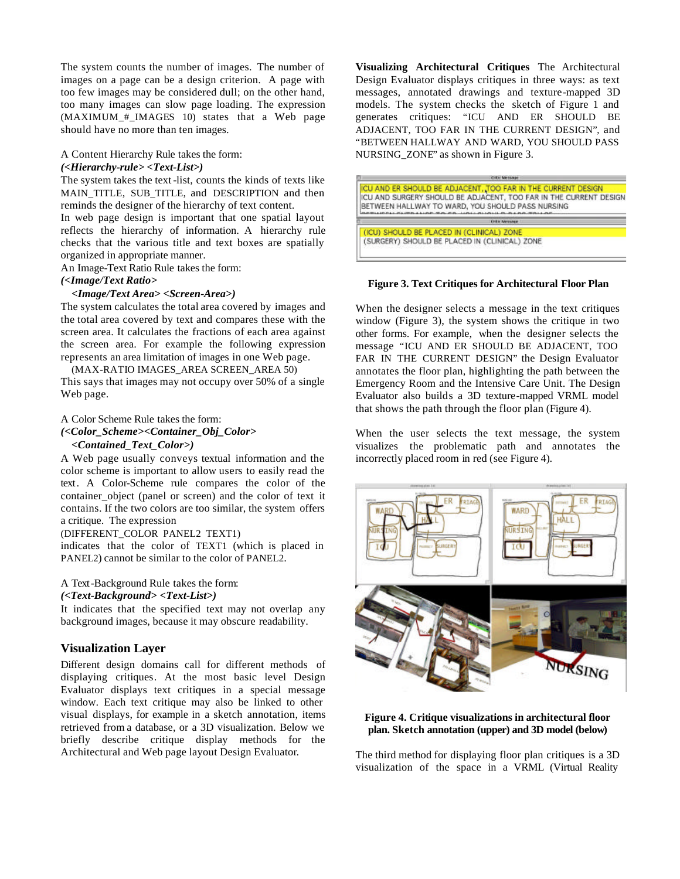The system counts the number of images. The number of images on a page can be a design criterion. A page with too few images may be considered dull; on the other hand, too many images can slow page loading. The expression (MAXIMUM\_#\_IMAGES 10) states that a Web page should have no more than ten images.

#### A Content Hierarchy Rule takes the form:

#### *(<Hierarchy-rule> <Text-List>)*

The system takes the text-list, counts the kinds of texts like MAIN\_TITLE, SUB\_TITLE, and DESCRIPTION and then reminds the designer of the hierarchy of text content.

In web page design is important that one spatial layout reflects the hierarchy of information. A hierarchy rule checks that the various title and text boxes are spatially organized in appropriate manner.

An Image-Text Ratio Rule takes the form:

## *(<Image/Text Ratio>*

## *<Image/Text Area> <Screen-Area>)*

The system calculates the total area covered by images and the total area covered by text and compares these with the screen area. It calculates the fractions of each area against the screen area. For example the following expression represents an area limitation of images in one Web page.

 (MAX-RATIO IMAGES\_AREA SCREEN\_AREA 50) This says that images may not occupy over 50% of a single Web page.

A Color Scheme Rule takes the form:

*(<Color\_Scheme><Container\_Obj\_Color> <Contained\_Text\_Color>)*

A Web page usually conveys textual information and the color scheme is important to allow users to easily read the text. A Color-Scheme rule compares the color of the container\_object (panel or screen) and the color of text it contains. If the two colors are too similar, the system offers a critique. The expression

(DIFFERENT\_COLOR PANEL2 TEXT1)

indicates that the color of TEXT1 (which is placed in PANEL2) cannot be similar to the color of PANEL2.

A Text-Background Rule takes the form:

*(<Text-Background> <Text-List>)*

It indicates that the specified text may not overlap any background images, because it may obscure readability.

## **Visualization Layer**

Different design domains call for different methods of displaying critiques. At the most basic level Design Evaluator displays text critiques in a special message window. Each text critique may also be linked to other visual displays, for example in a sketch annotation, items retrieved from a database, or a 3D visualization. Below we briefly describe critique display methods for the Architectural and Web page layout Design Evaluator.

**Visualizing Architectural Critiques** The Architectural Design Evaluator displays critiques in three ways: as text messages, annotated drawings and texture-mapped 3D models. The system checks the sketch of Figure 1 and generates critiques: "ICU AND ER SHOULD BE ADJACENT, TOO FAR IN THE CURRENT DESIGN", and "BETWEEN HALLWAY AND WARD, YOU SHOULD PASS NURSING\_ZONE" as shown in Figure 3.

Office Message ICU AND ER SHOULD BE ADJACENT, TOO FAR IN THE CURRENT DESIGN<br>ICU AND SURGERY SHOULD BE ADJACENT, TOO FAR IN THE CURRENT DESIGN BETWEEN HALLWAY TO WARD, YOU SHOULD PASS NURSING **Colly Message** (ICU) SHOULD BE PLACED IN (CLINICAL) ZONE (SURGERY) SHOULD BE PLACED IN (CLINICAL) ZONE

#### **Figure 3. Text Critiques for Architectural Floor Plan**

When the designer selects a message in the text critiques window (Figure 3), the system shows the critique in two other forms. For example, when the designer selects the message "ICU AND ER SHOULD BE ADJACENT, TOO FAR IN THE CURRENT DESIGN" the Design Evaluator annotates the floor plan, highlighting the path between the Emergency Room and the Intensive Care Unit. The Design Evaluator also builds a 3D texture-mapped VRML model that shows the path through the floor plan (Figure 4).

When the user selects the text message, the system visualizes the problematic path and annotates the incorrectly placed room in red (see Figure 4).



**Figure 4. Critique visualizations in architectural floor plan. Sketch annotation (upper) and 3D model (below)**

The third method for displaying floor plan critiques is a 3D visualization of the space in a VRML (Virtual Reality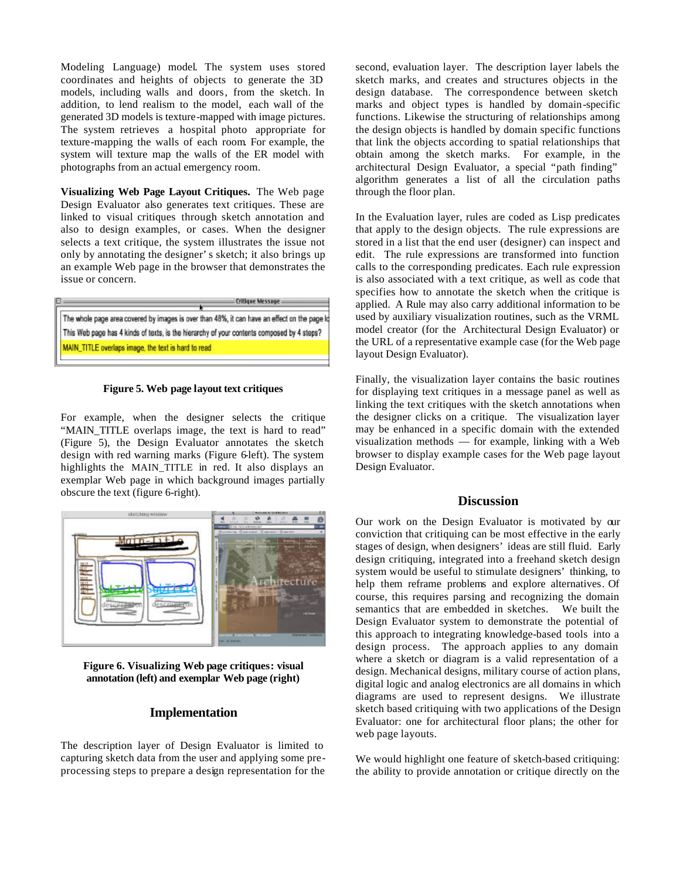Modeling Language) model. The system uses stored coordinates and heights of objects to generate the 3D models, including walls and doors, from the sketch. In addition, to lend realism to the model, each wall of the generated 3D models is texture-mapped with image pictures. The system retrieves a hospital photo appropriate for texture-mapping the walls of each room. For example, the system will texture map the walls of the ER model with photographs from an actual emergency room.

**Visualizing Web Page Layout Critiques.** The Web page Design Evaluator also generates text critiques. These are linked to visual critiques through sketch annotation and also to design examples, or cases. When the designer selects a text critique, the system illustrates the issue not only by annotating the designer's sketch; it also brings up an example Web page in the browser that demonstrates the issue or concern.

|                                                                                            | <b>Critique Message</b>                                                                      |  |  |
|--------------------------------------------------------------------------------------------|----------------------------------------------------------------------------------------------|--|--|
|                                                                                            | The whole page area covered by images is over than 48%, it can have an effect on the page Id |  |  |
| This Web page has 4 kinds of texts, is the hierarchy of your contents composed by 4 steps? |                                                                                              |  |  |
|                                                                                            | MAIN_TITLE overlaps image, the text is hard to read                                          |  |  |

**Figure 5. Web page layout text critiques**

For example, when the designer selects the critique "MAIN TITLE overlaps image, the text is hard to read" (Figure 5), the Design Evaluator annotates the sketch design with red warning marks (Figure 6-left). The system highlights the MAIN\_TITLE in red. It also displays an exemplar Web page in which background images partially obscure the text (figure 6-right).



**Figure 6. Visualizing Web page critiques: visual annotation (left) and exemplar Web page (right)**

# **Implementation**

The description layer of Design Evaluator is limited to capturing sketch data from the user and applying some preprocessing steps to prepare a design representation for the second, evaluation layer. The description layer labels the sketch marks, and creates and structures objects in the design database. The correspondence between sketch marks and object types is handled by domain-specific functions. Likewise the structuring of relationships among the design objects is handled by domain specific functions that link the objects according to spatial relationships that obtain among the sketch marks. For example, in the architectural Design Evaluator, a special "path finding" algorithm generates a list of all the circulation paths through the floor plan.

In the Evaluation layer, rules are coded as Lisp predicates that apply to the design objects. The rule expressions are stored in a list that the end user (designer) can inspect and edit. The rule expressions are transformed into function calls to the corresponding predicates. Each rule expression is also associated with a text critique, as well as code that specifies how to annotate the sketch when the critique is applied. A Rule may also carry additional information to be used by auxiliary visualization routines, such as the VRML model creator (for the Architectural Design Evaluator) or the URL of a representative example case (for the Web page layout Design Evaluator).

Finally, the visualization layer contains the basic routines for displaying text critiques in a message panel as well as linking the text critiques with the sketch annotations when the designer clicks on a critique. The visualization layer may be enhanced in a specific domain with the extended visualization methods — for example, linking with a Web browser to display example cases for the Web page layout Design Evaluator.

## **Discussion**

Our work on the Design Evaluator is motivated by our conviction that critiquing can be most effective in the early stages of design, when designers' ideas are still fluid. Early design critiquing, integrated into a freehand sketch design system would be useful to stimulate designers' thinking, to help them reframe problems and explore alternatives. Of course, this requires parsing and recognizing the domain semantics that are embedded in sketches. We built the Design Evaluator system to demonstrate the potential of this approach to integrating knowledge-based tools into a design process. The approach applies to any domain where a sketch or diagram is a valid representation of a design. Mechanical designs, military course of action plans, digital logic and analog electronics are all domains in which diagrams are used to represent designs. We illustrate sketch based critiquing with two applications of the Design Evaluator: one for architectural floor plans; the other for web page layouts.

We would highlight one feature of sketch-based critiquing: the ability to provide annotation or critique directly on the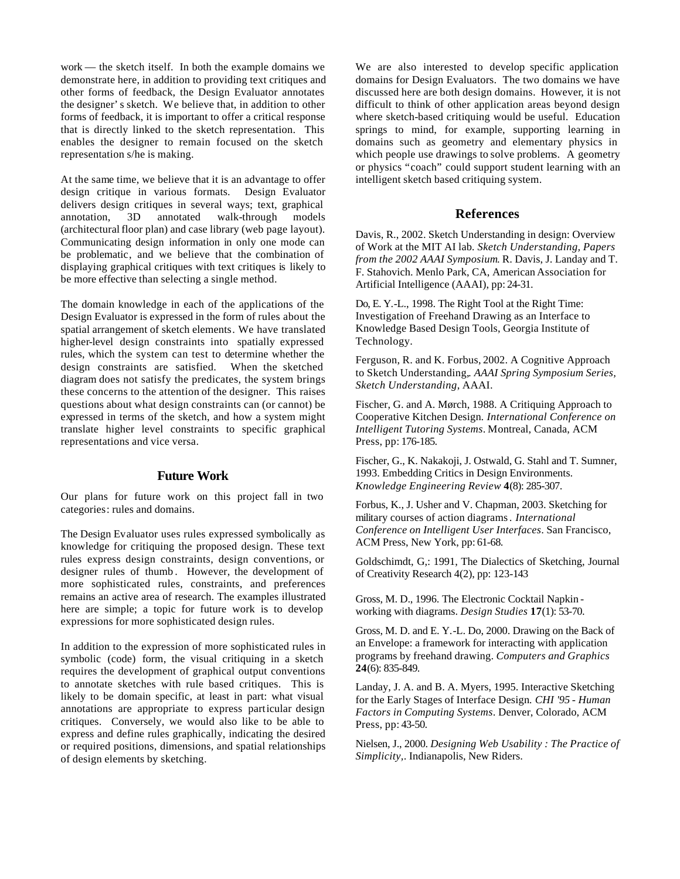work — the sketch itself. In both the example domains we demonstrate here, in addition to providing text critiques and other forms of feedback, the Design Evaluator annotates the designer's sketch. We believe that, in addition to other forms of feedback, it is important to offer a critical response that is directly linked to the sketch representation. This enables the designer to remain focused on the sketch representation s/he is making.

At the same time, we believe that it is an advantage to offer design critique in various formats. Design Evaluator delivers design critiques in several ways; text, graphical annotation, 3D annotated walk-through models (architectural floor plan) and case library (web page layout). Communicating design information in only one mode can be problematic, and we believe that the combination of displaying graphical critiques with text critiques is likely to be more effective than selecting a single method.

The domain knowledge in each of the applications of the Design Evaluator is expressed in the form of rules about the spatial arrangement of sketch elements. We have translated higher-level design constraints into spatially expressed rules, which the system can test to determine whether the design constraints are satisfied. When the sketched diagram does not satisfy the predicates, the system brings these concerns to the attention of the designer. This raises questions about what design constraints can (or cannot) be expressed in terms of the sketch, and how a system might translate higher level constraints to specific graphical representations and vice versa.

# **Future Work**

Our plans for future work on this project fall in two categories: rules and domains.

The Design Evaluator uses rules expressed symbolically as knowledge for critiquing the proposed design. These text rules express design constraints, design conventions, or designer rules of thumb. However, the development of more sophisticated rules, constraints, and preferences remains an active area of research. The examples illustrated here are simple; a topic for future work is to develop expressions for more sophisticated design rules.

In addition to the expression of more sophisticated rules in symbolic (code) form, the visual critiquing in a sketch requires the development of graphical output conventions to annotate sketches with rule based critiques. This is likely to be domain specific, at least in part: what visual annotations are appropriate to express particular design critiques. Conversely, we would also like to be able to express and define rules graphically, indicating the desired or required positions, dimensions, and spatial relationships of design elements by sketching.

We are also interested to develop specific application domains for Design Evaluators. The two domains we have discussed here are both design domains. However, it is not difficult to think of other application areas beyond design where sketch-based critiquing would be useful. Education springs to mind, for example, supporting learning in domains such as geometry and elementary physics in which people use drawings to solve problems. A geometry or physics "coach" could support student learning with an intelligent sketch based critiquing system.

#### **References**

Davis, R., 2002. Sketch Understanding in design: Overview of Work at the MIT AI lab*. Sketch Understanding, Papers from the 2002 AAAI Symposium*. R. Davis, J. Landay and T. F. Stahovich. Menlo Park, CA, American Association for Artificial Intelligence (AAAI), pp: 24-31.

Do, E. Y.-L., 1998. The Right Tool at the Right Time: Investigation of Freehand Drawing as an Interface to Knowledge Based Design Tools, Georgia Institute of Technology.

Ferguson, R. and K. Forbus, 2002. A Cognitive Approach to Sketch Understanding,*. AAAI Spring Symposium Series, Sketch Understanding*, AAAI.

Fischer, G. and A. Mørch, 1988. A Critiquing Approach to Cooperative Kitchen Design*. International Conference on Intelligent Tutoring Systems*. Montreal, Canada, ACM Press, pp: 176-185.

Fischer, G., K. Nakakoji, J. Ostwald, G. Stahl and T. Sumner, 1993. Embedding Critics in Design Environments. *Knowledge Engineering Review* **4**(8): 285-307.

Forbus, K., J. Usher and V. Chapman, 2003. Sketching for military courses of action diagrams*. International Conference on Intelligent User Interfaces*. San Francisco, ACM Press, New York, pp: 61-68.

Goldschimdt, G,: 1991, The Dialectics of Sketching, Journal of Creativity Research 4(2), pp: 123-143

Gross, M. D., 1996. The Electronic Cocktail Napkin working with diagrams. *Design Studies* **17**(1): 53-70.

Gross, M. D. and E. Y.-L. Do, 2000. Drawing on the Back of an Envelope: a framework for interacting with application programs by freehand drawing. *Computers and Graphics* **24**(6): 835-849.

Landay, J. A. and B. A. Myers, 1995. Interactive Sketching for the Early Stages of Interface Design*. CHI '95 - Human Factors in Computing Systems*. Denver, Colorado, ACM Press, pp: 43-50.

Nielsen, J., 2000. *Designing Web Usability : The Practice of Simplicity,*. Indianapolis, New Riders.